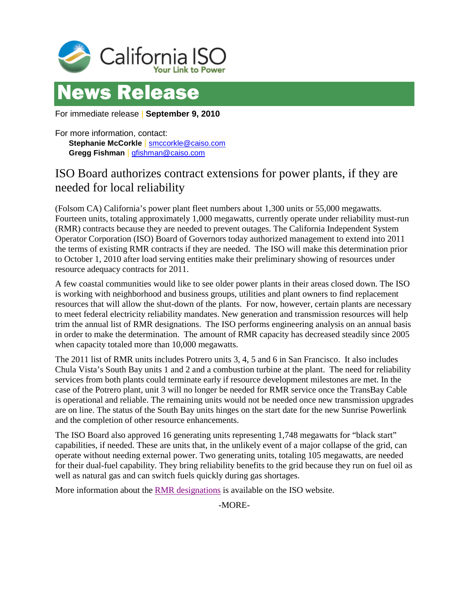



For immediate release | **September 9, 2010**

For more information, contact: **Stephanie McCorkle** | [smccorkle@caiso.com](mailto:smccorkle@caiso.com) **Gregg Fishman** | [gfishman@caiso.com](mailto:gfishman@caiso.com)

## ISO Board authorizes contract extensions for power plants, if they are needed for local reliability

(Folsom CA) California's power plant fleet numbers about 1,300 units or 55,000 megawatts. Fourteen units, totaling approximately 1,000 megawatts, currently operate under reliability must-run (RMR) contracts because they are needed to prevent outages. The California Independent System Operator Corporation (ISO) Board of Governors today authorized management to extend into 2011 the terms of existing RMR contracts if they are needed. The ISO will make this determination prior to October 1, 2010 after load serving entities make their preliminary showing of resources under resource adequacy contracts for 2011.

A few coastal communities would like to see older power plants in their areas closed down. The ISO is working with neighborhood and business groups, utilities and plant owners to find replacement resources that will allow the shut-down of the plants. For now, however, certain plants are necessary to meet federal electricity reliability mandates. New generation and transmission resources will help trim the annual list of RMR designations. The ISO performs engineering analysis on an annual basis in order to make the determination. The amount of RMR capacity has decreased steadily since 2005 when capacity totaled more than 10,000 megawatts.

The 2011 list of RMR units includes Potrero units 3, 4, 5 and 6 in San Francisco. It also includes Chula Vista's South Bay units 1 and 2 and a combustion turbine at the plant. The need for reliability services from both plants could terminate early if resource development milestones are met. In the case of the Potrero plant, unit 3 will no longer be needed for RMR service once the TransBay Cable is operational and reliable. The remaining units would not be needed once new transmission upgrades are on line. The status of the South Bay units hinges on the start date for the new Sunrise Powerlink and the completion of other resource enhancements.

The ISO Board also approved 16 generating units representing 1,748 megawatts for "black start" capabilities, if needed. These are units that, in the unlikely event of a major collapse of the grid, can operate without needing external power. Two generating units, totaling 105 megawatts, are needed for their dual-fuel capability. They bring reliability benefits to the grid because they run on fuel oil as well as natural gas and can switch fuels quickly during gas shortages.

More information about the [RMR designations](http://www.caiso.com/2805/2805a4ba38f10.pdf) is available on the ISO website.

-MORE-